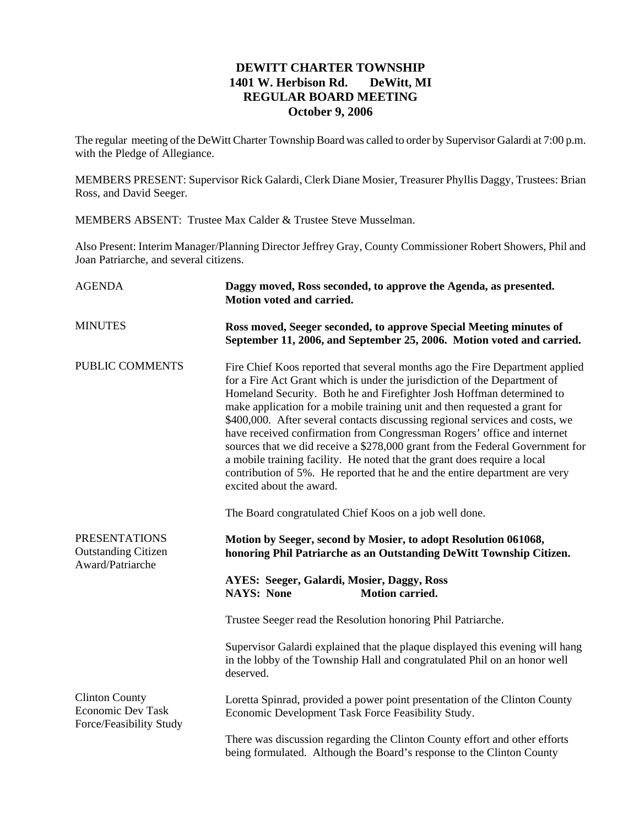## **DEWITT CHARTER TOWNSHIP 1401 W. Herbison Rd. DeWitt, MI REGULAR BOARD MEETING October 9, 2006**

The regular meeting of the DeWitt Charter Township Board was called to order by Supervisor Galardi at 7:00 p.m. with the Pledge of Allegiance.

MEMBERS PRESENT: Supervisor Rick Galardi, Clerk Diane Mosier, Treasurer Phyllis Daggy, Trustees: Brian Ross, and David Seeger.

MEMBERS ABSENT: Trustee Max Calder & Trustee Steve Musselman.

Also Present: Interim Manager/Planning Director Jeffrey Gray, County Commissioner Robert Showers, Phil and Joan Patriarche, and several citizens.

| <b>AGENDA</b>                                                                | Daggy moved, Ross seconded, to approve the Agenda, as presented.<br>Motion voted and carried.                                                                                                                                                                                                                                                                                                                                                                                                                                                                                                                                                                                                                                                                                                                |
|------------------------------------------------------------------------------|--------------------------------------------------------------------------------------------------------------------------------------------------------------------------------------------------------------------------------------------------------------------------------------------------------------------------------------------------------------------------------------------------------------------------------------------------------------------------------------------------------------------------------------------------------------------------------------------------------------------------------------------------------------------------------------------------------------------------------------------------------------------------------------------------------------|
| <b>MINUTES</b>                                                               | Ross moved, Seeger seconded, to approve Special Meeting minutes of<br>September 11, 2006, and September 25, 2006. Motion voted and carried.                                                                                                                                                                                                                                                                                                                                                                                                                                                                                                                                                                                                                                                                  |
| PUBLIC COMMENTS                                                              | Fire Chief Koos reported that several months ago the Fire Department applied<br>for a Fire Act Grant which is under the jurisdiction of the Department of<br>Homeland Security. Both he and Firefighter Josh Hoffman determined to<br>make application for a mobile training unit and then requested a grant for<br>\$400,000. After several contacts discussing regional services and costs, we<br>have received confirmation from Congressman Rogers' office and internet<br>sources that we did receive a \$278,000 grant from the Federal Government for<br>a mobile training facility. He noted that the grant does require a local<br>contribution of 5%. He reported that he and the entire department are very<br>excited about the award.<br>The Board congratulated Chief Koos on a job well done. |
| <b>PRESENTATIONS</b><br><b>Outstanding Citizen</b><br>Award/Patriarche       | Motion by Seeger, second by Mosier, to adopt Resolution 061068,<br>honoring Phil Patriarche as an Outstanding DeWitt Township Citizen.                                                                                                                                                                                                                                                                                                                                                                                                                                                                                                                                                                                                                                                                       |
|                                                                              | <b>AYES: Seeger, Galardi, Mosier, Daggy, Ross</b><br><b>NAYS: None</b><br><b>Motion carried.</b>                                                                                                                                                                                                                                                                                                                                                                                                                                                                                                                                                                                                                                                                                                             |
|                                                                              | Trustee Seeger read the Resolution honoring Phil Patriarche.                                                                                                                                                                                                                                                                                                                                                                                                                                                                                                                                                                                                                                                                                                                                                 |
|                                                                              | Supervisor Galardi explained that the plaque displayed this evening will hang<br>in the lobby of the Township Hall and congratulated Phil on an honor well<br>deserved.                                                                                                                                                                                                                                                                                                                                                                                                                                                                                                                                                                                                                                      |
| <b>Clinton County</b><br><b>Economic Dev Task</b><br>Force/Feasibility Study | Loretta Spinrad, provided a power point presentation of the Clinton County<br>Economic Development Task Force Feasibility Study.                                                                                                                                                                                                                                                                                                                                                                                                                                                                                                                                                                                                                                                                             |
|                                                                              | There was discussion regarding the Clinton County effort and other efforts<br>being formulated. Although the Board's response to the Clinton County                                                                                                                                                                                                                                                                                                                                                                                                                                                                                                                                                                                                                                                          |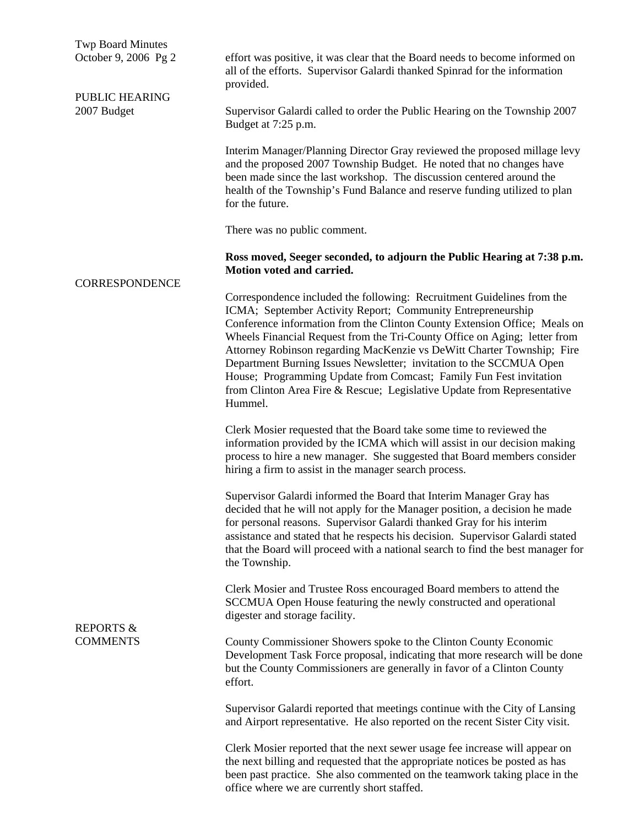Twp Board Minutes October 9, 2006 Pg 2

PUBLIC HEARING 2007 Budget

CORRESPONDENCE

effort was positive, it was clear that the Board needs to become informed on all of the efforts. Supervisor Galardi thanked Spinrad for the information provided.

Supervisor Galardi called to order the Public Hearing on the Township 2007 Budget at 7:25 p.m.

Interim Manager/Planning Director Gray reviewed the proposed millage levy and the proposed 2007 Township Budget. He noted that no changes have been made since the last workshop. The discussion centered around the health of the Township's Fund Balance and reserve funding utilized to plan for the future.

There was no public comment.

**Ross moved, Seeger seconded, to adjourn the Public Hearing at 7:38 p.m. Motion voted and carried.** 

Correspondence included the following: Recruitment Guidelines from the ICMA; September Activity Report; Community Entrepreneurship Conference information from the Clinton County Extension Office; Meals on Wheels Financial Request from the Tri-County Office on Aging; letter from Attorney Robinson regarding MacKenzie vs DeWitt Charter Township; Fire Department Burning Issues Newsletter; invitation to the SCCMUA Open House; Programming Update from Comcast; Family Fun Fest invitation from Clinton Area Fire & Rescue; Legislative Update from Representative Hummel.

Clerk Mosier requested that the Board take some time to reviewed the information provided by the ICMA which will assist in our decision making process to hire a new manager. She suggested that Board members consider hiring a firm to assist in the manager search process.

Supervisor Galardi informed the Board that Interim Manager Gray has decided that he will not apply for the Manager position, a decision he made for personal reasons. Supervisor Galardi thanked Gray for his interim assistance and stated that he respects his decision. Supervisor Galardi stated that the Board will proceed with a national search to find the best manager for the Township.

Clerk Mosier and Trustee Ross encouraged Board members to attend the SCCMUA Open House featuring the newly constructed and operational digester and storage facility.

County Commissioner Showers spoke to the Clinton County Economic Development Task Force proposal, indicating that more research will be done but the County Commissioners are generally in favor of a Clinton County effort.

Supervisor Galardi reported that meetings continue with the City of Lansing and Airport representative. He also reported on the recent Sister City visit.

Clerk Mosier reported that the next sewer usage fee increase will appear on the next billing and requested that the appropriate notices be posted as has been past practice. She also commented on the teamwork taking place in the office where we are currently short staffed.

## REPORTS & **COMMENTS**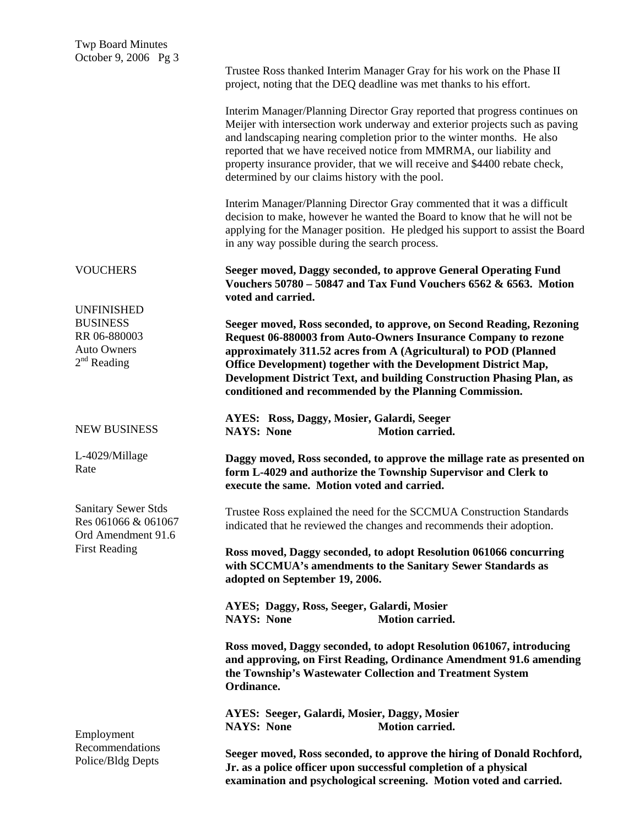|                                                                                                               | Trustee Ross thanked Interim Manager Gray for his work on the Phase II<br>project, noting that the DEQ deadline was met thanks to his effort.                                                                                                                                                                                                                                                                                               |
|---------------------------------------------------------------------------------------------------------------|---------------------------------------------------------------------------------------------------------------------------------------------------------------------------------------------------------------------------------------------------------------------------------------------------------------------------------------------------------------------------------------------------------------------------------------------|
|                                                                                                               | Interim Manager/Planning Director Gray reported that progress continues on<br>Meijer with intersection work underway and exterior projects such as paving<br>and landscaping nearing completion prior to the winter months. He also<br>reported that we have received notice from MMRMA, our liability and<br>property insurance provider, that we will receive and \$4400 rebate check,<br>determined by our claims history with the pool. |
|                                                                                                               | Interim Manager/Planning Director Gray commented that it was a difficult<br>decision to make, however he wanted the Board to know that he will not be<br>applying for the Manager position. He pledged his support to assist the Board<br>in any way possible during the search process.                                                                                                                                                    |
| <b>VOUCHERS</b>                                                                                               | Seeger moved, Daggy seconded, to approve General Operating Fund<br>Vouchers 50780 - 50847 and Tax Fund Vouchers 6562 & 6563. Motion<br>voted and carried.                                                                                                                                                                                                                                                                                   |
| <b>UNFINISHED</b><br><b>BUSINESS</b><br>RR 06-880003<br><b>Auto Owners</b><br>$2nd$ Reading                   | Seeger moved, Ross seconded, to approve, on Second Reading, Rezoning<br>Request 06-880003 from Auto-Owners Insurance Company to rezone<br>approximately 311.52 acres from A (Agricultural) to POD (Planned<br>Office Development) together with the Development District Map,<br>Development District Text, and building Construction Phasing Plan, as<br>conditioned and recommended by the Planning Commission.                           |
| <b>NEW BUSINESS</b>                                                                                           | AYES: Ross, Daggy, Mosier, Galardi, Seeger<br><b>Motion carried.</b><br><b>NAYS: None</b>                                                                                                                                                                                                                                                                                                                                                   |
| L-4029/Millage<br>Rate                                                                                        | Daggy moved, Ross seconded, to approve the millage rate as presented on<br>form L-4029 and authorize the Township Supervisor and Clerk to<br>execute the same. Motion voted and carried.                                                                                                                                                                                                                                                    |
| <b>Sanitary Sewer Stds</b><br>Res 061066 & 061067<br>Ord Amendment 91.6<br><b>First Reading</b><br>Employment | Trustee Ross explained the need for the SCCMUA Construction Standards<br>indicated that he reviewed the changes and recommends their adoption.                                                                                                                                                                                                                                                                                              |
|                                                                                                               | Ross moved, Daggy seconded, to adopt Resolution 061066 concurring<br>with SCCMUA's amendments to the Sanitary Sewer Standards as<br>adopted on September 19, 2006.                                                                                                                                                                                                                                                                          |
|                                                                                                               | AYES; Daggy, Ross, Seeger, Galardi, Mosier<br><b>NAYS: None</b><br><b>Motion carried.</b>                                                                                                                                                                                                                                                                                                                                                   |
|                                                                                                               | Ross moved, Daggy seconded, to adopt Resolution 061067, introducing<br>and approving, on First Reading, Ordinance Amendment 91.6 amending<br>the Township's Wastewater Collection and Treatment System<br>Ordinance.                                                                                                                                                                                                                        |
|                                                                                                               | AYES: Seeger, Galardi, Mosier, Daggy, Mosier<br><b>NAYS: None</b><br><b>Motion carried.</b>                                                                                                                                                                                                                                                                                                                                                 |
| Recommendations<br>Police/Bldg Depts                                                                          | Seeger moved, Ross seconded, to approve the hiring of Donald Rochford,<br>Jr. as a police officer upon successful completion of a physical<br>examination and psychological screening. Motion voted and carried.                                                                                                                                                                                                                            |